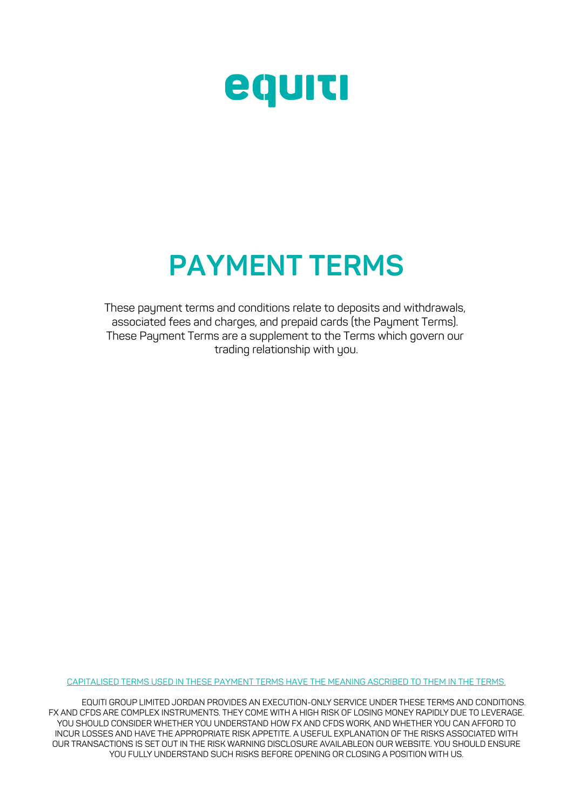

## **PAYMENT TERMS**

These payment terms and conditions relate to deposits and withdrawals, associated fees and charges, and prepaid cards (the Payment Terms). These Payment Terms are a supplement to the Terms which govern our trading relationship with you.

CAPITALISED TERMS USED IN THESE PAYMENT TERMS HAVE THE MEANING ASCRIBED TO THEM IN THE TERMS.

 EQUITI GROUP LIMITED JORDAN PROVIDES AN EXECUTION-ONLY SERVICE UNDER THESE TERMS AND CONDITIONS. FX AND CFDS ARE COMPLEX INSTRUMENTS. THEY COME WITH A HIGH RISK OF LOSING MONEY RAPIDLY DUE TO LEVERAGE.<br>...YOU OVOLLE ROMANER WILLT USED YOU UNEFRECTAND HOMEY AND SERO WORK, AND WILLT USE YOU ON LA FERDE TO YOU SHOULD CONSIDER WHETHER YOU UNDERSTAND HOW FX AND CFDS WORK, AND WHETHER YOU CAN AFFORD TO<br>NOUD LOCCES AND UNIC TUE APPROPNATE PICK APPETITE, A USEEUL EXPLANATION OF TUE PICKS ASSOCIATED WITH INCUR LOSSES AND HAVE THE APPROPRIATE RISK APPETITE. A USEFUL EXPLANATION OF THE RISKS ASSOCIATED WITH INCON EOSSES AND HAVE THE AFFNOFNATE NISK AFFETITE. A OSEF OF EAFEANATION OF THE NISKS ASSOCIATED WITH<br>OUR TRANSACTIONS IS SET OUT IN THE RISK WARNING DISCLOSURE AVAILABLEON OUR WEBSITE. YOU SHOULD ENSURE YOU FULLY UNDERSTAND SUCH RISKS BEFORE OPENING OR CLOSING A POSITION WITH US.  $\overline{\phantom{a}}$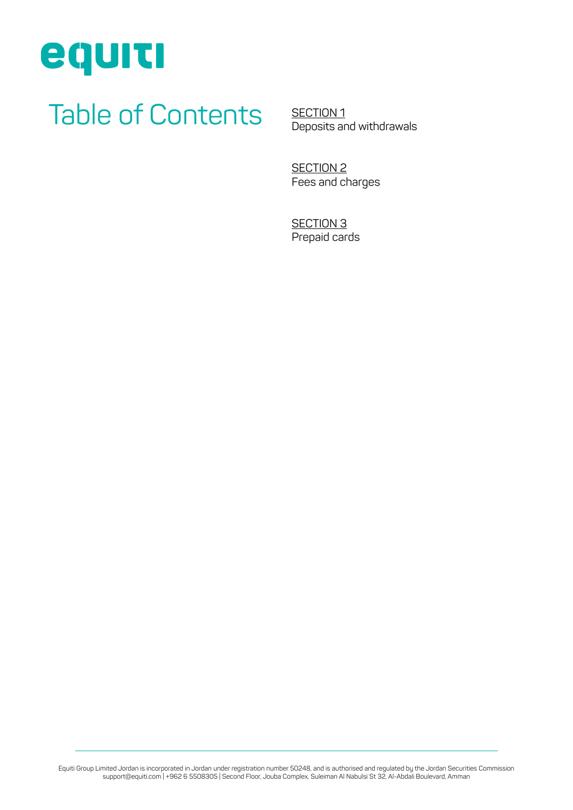

single agreement between us.

# Table of Contents

SECTION<sub>1</sub> [Deposits and withdrawals](#page-2-0)

SECTION<sub>2</sub> [Fees and charges](#page-3-0) 

SECTION 3 [Prepaid cards](#page-4-0)

Equiti Group Limited Jordan is incorporated in Jordan under registration number 50248, and is authorised and regulated by the Jordan Securities Commission support@equiti.com | +962 6 5508305 | Second Floor, Jouba Complex, Suleiman Al Nabulsi St 32, Al-Abdali Boulevard, Amman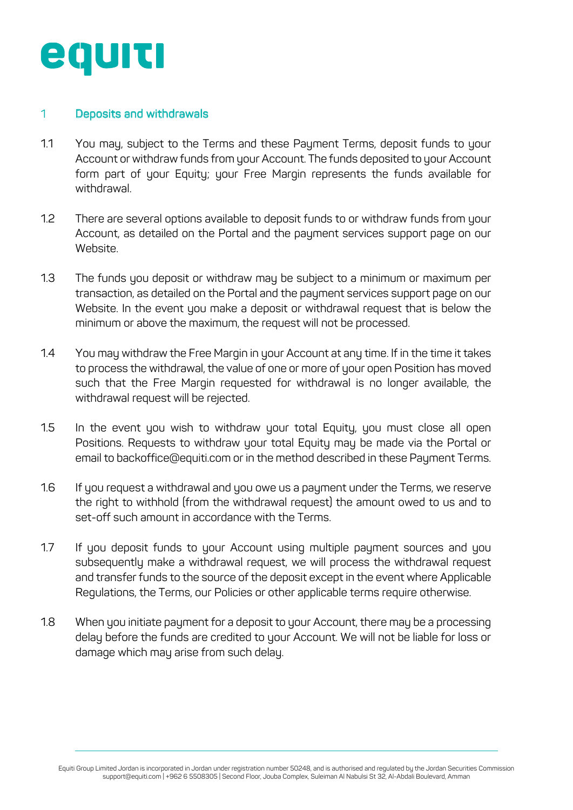<span id="page-2-0"></span>

failure or delay by us in exercising our rights under these Terms

single agreement between us.

#### 1 Deposits and withdrawals

- 1.1 You may, subject to the Terms and these Payment Terms, deposit funds to your Account or withdraw funds from your Account. The funds deposited to your Account form part of your Equity; your Free Margin represents the funds available for withdrawal.
- 1.2 There are several options available to deposit funds to or withdraw funds from your Account, as detailed on the Portal and the payment services support page on our Website.
- 1.3 The funds you deposit or withdraw may be subject to a minimum or maximum per transaction, as detailed on the Portal and the payment services support page on our Website. In the event you make a deposit or withdrawal request that is below the minimum or above the maximum, the request will not be processed.
- 1.4 You may withdraw the Free Margin in your Account at any time. If in the time it takes to process the withdrawal, the value of one or more of your open Position has moved such that the Free Margin requested for withdrawal is no longer available, the withdrawal request will be rejected.
- 1.5 In the event you wish to withdraw your total Equity, you must close all open Positions. Requests to withdraw your total Equity may be made via the Portal or email to backoffice@equiti.com or in the method described in these Payment Terms.
- 1.6 If you request a withdrawal and you owe us a payment under the Terms, we reserve the right to withhold (from the withdrawal request) the amount owed to us and to set-off such amount in accordance with the Terms.
- Regulations, the Terms, our Policies or other applicable terms require otherwise. subsequently make a withdrawal request, we will process the withdrawal request and transfer funds to the source of the deposit except in the event where Applicable 1.7 If you deposit funds to your Account using multiple payment sources and you
- 1.8 When you initiate payment for a deposit to your Account, there may be a processing , subject to  $\mathsf{S}_{\mathsf{S}}$ damage which may arise from such delay. Conflicts of Interest Policy. delay before the funds are credited to your Account. We will not be liable for loss or

Equiti Group Limited Jordan is incorporated in Jordan under registration number 50248, and is authorised and regulated by the Jordan Securities Commission<br>Equiti Gronort@equiti com LAAS2 6 5508305 | Second Floor Jouha Comp support@equiti.com | +962 6 5508305 | Second Floor, Jouba Complex, Suleiman Al Nabulsi St 32, Al-Abdali Boulevard, Amman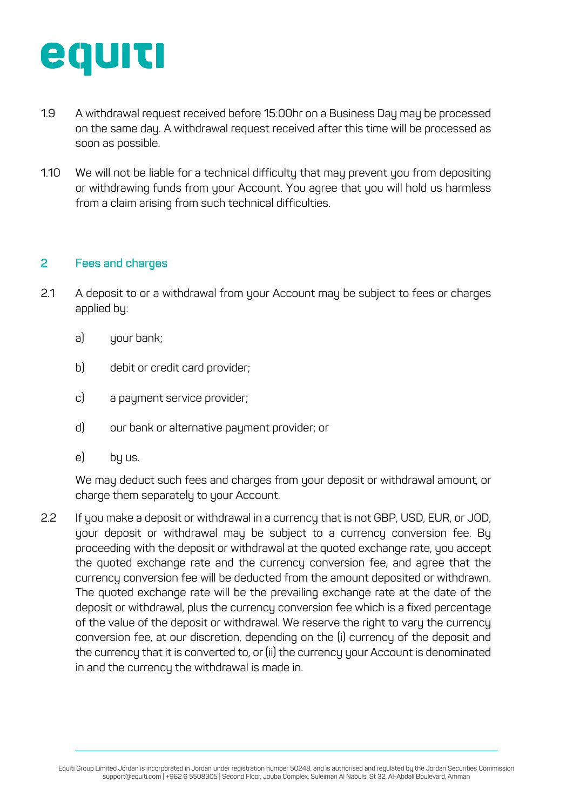<span id="page-3-0"></span>

- **""#+#"!** Situations may arise where our interests, or those of our Affiliates, directors, 1.9 A withdrawal request received before 15:00hr on a Business Day may be processed on the same day. A withdrawal request received after this time will be processed as soon as possible.
- 1.10 We will not be liable for a technical difficulty that may prevent you from depositing (-4\$=0&-.!5>!&<-!/)(.01!?-3\$(%&%-2!@),,%22%)1 ! or withdrawing funds from your Account. You agree that you will hold us harmless from a claim arising from such technical difficulties.

### 2 Fees and charges

- 2.1 A deposit to or a withdrawal from your Account may be subject to fees or charges applied by:
	- a) your bank;
	- b) debit or credit card provider;
	- c) a payment service provider;
	- d) our bank or alternative payment provider; or
	- e) by us.

single agreement between us.

We may deduct such fees and charges from your deposit or withdrawal amount, or charge them separately to your Account.

the quoted exchange rate and the currency conversion fee, and agree that the currency conversion fee will be deducted from the amount deposited or withdrawn. The quoted exchange rate will be the prevailing exchange rate at the date of the deposit or withdrawal, plus the currency conversion fee which is a fixed percentage of the value of the deposit or withdrawal. We reserve the right to vary the currency Conflicts of Interest Policy. 2.2 If you make a deposit or withdrawal in a currency that is not GBP, USD, EUR, or JOD, your deposit or withdrawal may be subject to a currency conversion fee. By proceeding with the deposit or withdrawal at the quoted exchange rate, you accept conversion fee, at our discretion, depending on the (i) currency of the deposit and the currency that it is converted to, or (ii) the currency your Account is denominated in and the currency the withdrawal is made in.

Equiti Group Limited Jordan is incorporated in Jordan under registration number 50248, and is authorised and regulated by the Jordan Securities Commission support@equiti.com | +962 6 5508305 | Second Floor, Jouba Complex, Suleiman Al Nabulsi St 32, Al-Abdali Boulevard, Amman